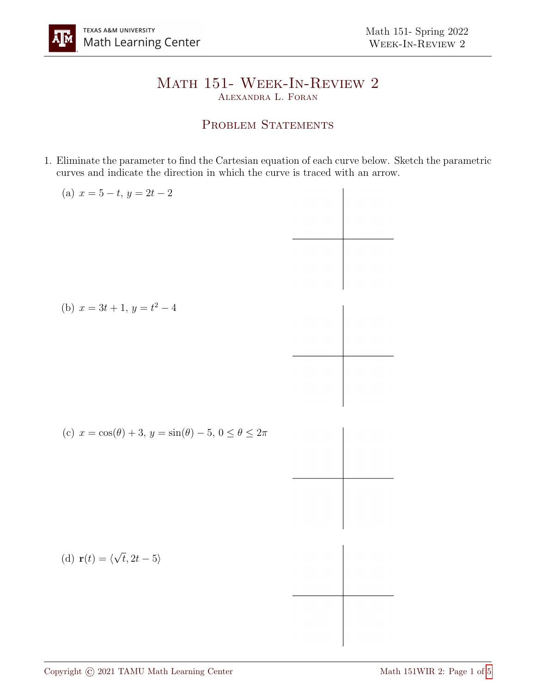## Math 151- Week-In-Review 2 Alexandra L. Foran

## PROBLEM STATEMENTS

1. Eliminate the parameter to find the Cartesian equation of each curve below. Sketch the parametric curves and indicate the direction in which the curve is traced with an arrow.

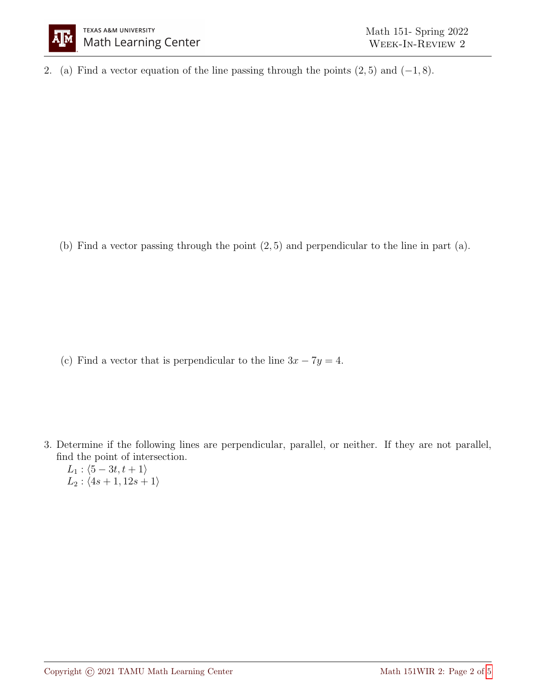

2. (a) Find a vector equation of the line passing through the points  $(2, 5)$  and  $(-1, 8)$ .

(b) Find a vector passing through the point (2, 5) and perpendicular to the line in part (a).

(c) Find a vector that is perpendicular to the line  $3x - 7y = 4$ .

3. Determine if the following lines are perpendicular, parallel, or neither. If they are not parallel, find the point of intersection.

 $L_1$ :  $\langle 5 - 3t, t + 1 \rangle$  $L_2$ :  $\langle 4s + 1, 12s + 1 \rangle$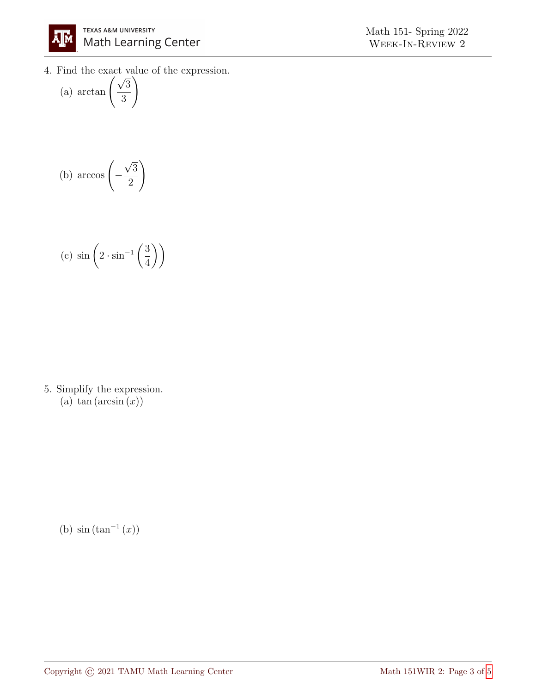

4. Find the exact value of the expression.<br>
(a)  $\arctan\left(\frac{\sqrt{3}}{2}\right)$ 

(a) 
$$
\arctan\left(\frac{\sqrt{3}}{3}\right)
$$

(b) 
$$
\arccos\left(-\frac{\sqrt{3}}{2}\right)
$$

(c) 
$$
\sin\left(2 \cdot \sin^{-1}\left(\frac{3}{4}\right)\right)
$$

5. Simplify the expression. (a)  $\tan (\arcsin (x))$ 

(b)  $\sin (\tan^{-1}(x))$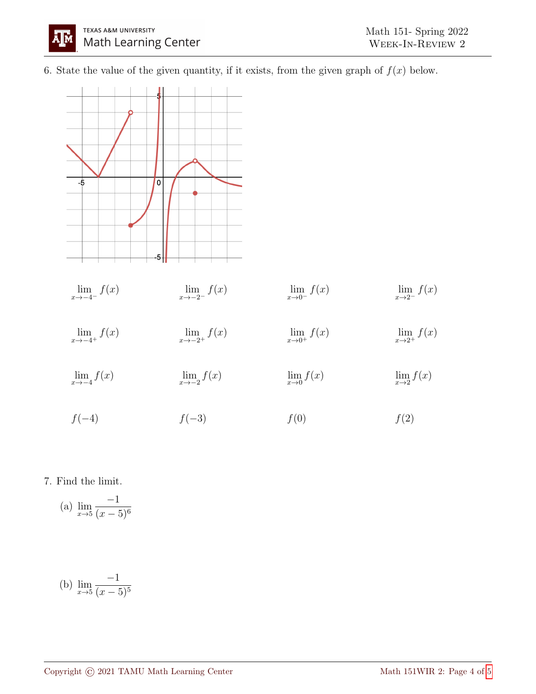6. State the value of the given quantity, if it exists, from the given graph of  $f(x)$  below.



7. Find the limit.

(a) 
$$
\lim_{x \to 5} \frac{-1}{(x-5)^6}
$$

(b) 
$$
\lim_{x \to 5} \frac{-1}{(x-5)^5}
$$